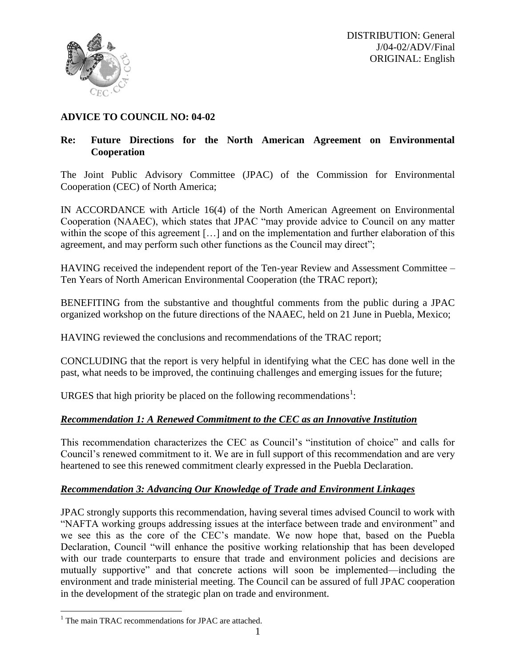

# **ADVICE TO COUNCIL NO: 04-02**

# **Re: Future Directions for the North American Agreement on Environmental Cooperation**

The Joint Public Advisory Committee (JPAC) of the Commission for Environmental Cooperation (CEC) of North America;

IN ACCORDANCE with Article 16(4) of the North American Agreement on Environmental Cooperation (NAAEC), which states that JPAC "may provide advice to Council on any matter within the scope of this agreement [...] and on the implementation and further elaboration of this agreement, and may perform such other functions as the Council may direct";

HAVING received the independent report of the Ten-year Review and Assessment Committee – Ten Years of North American Environmental Cooperation (the TRAC report);

BENEFITING from the substantive and thoughtful comments from the public during a JPAC organized workshop on the future directions of the NAAEC, held on 21 June in Puebla, Mexico;

HAVING reviewed the conclusions and recommendations of the TRAC report;

CONCLUDING that the report is very helpful in identifying what the CEC has done well in the past, what needs to be improved, the continuing challenges and emerging issues for the future;

URGES that high priority be placed on the following recommendations<sup>1</sup>:

# *Recommendation 1: A Renewed Commitment to the CEC as an Innovative Institution*

This recommendation characterizes the CEC as Council's "institution of choice" and calls for Council's renewed commitment to it. We are in full support of this recommendation and are very heartened to see this renewed commitment clearly expressed in the Puebla Declaration.

# *Recommendation 3: Advancing Our Knowledge of Trade and Environment Linkages*

JPAC strongly supports this recommendation, having several times advised Council to work with "NAFTA working groups addressing issues at the interface between trade and environment" and we see this as the core of the CEC's mandate. We now hope that, based on the Puebla Declaration, Council "will enhance the positive working relationship that has been developed with our trade counterparts to ensure that trade and environment policies and decisions are mutually supportive" and that concrete actions will soon be implemented—including the environment and trade ministerial meeting. The Council can be assured of full JPAC cooperation in the development of the strategic plan on trade and environment.

 $\overline{a}$ 

 $1$  The main TRAC recommendations for JPAC are attached.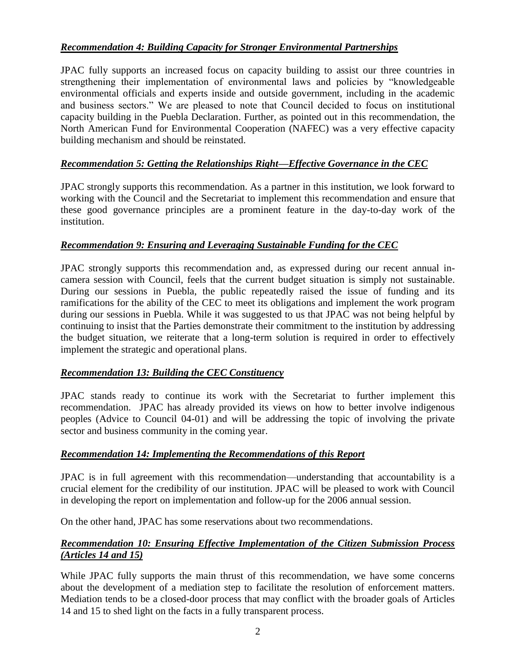# *Recommendation 4: Building Capacity for Stronger Environmental Partnerships*

JPAC fully supports an increased focus on capacity building to assist our three countries in strengthening their implementation of environmental laws and policies by "knowledgeable environmental officials and experts inside and outside government, including in the academic and business sectors." We are pleased to note that Council decided to focus on institutional capacity building in the Puebla Declaration. Further, as pointed out in this recommendation, the North American Fund for Environmental Cooperation (NAFEC) was a very effective capacity building mechanism and should be reinstated.

# *Recommendation 5: Getting the Relationships Right—Effective Governance in the CEC*

JPAC strongly supports this recommendation. As a partner in this institution, we look forward to working with the Council and the Secretariat to implement this recommendation and ensure that these good governance principles are a prominent feature in the day-to-day work of the institution.

## *Recommendation 9: Ensuring and Leveraging Sustainable Funding for the CEC*

JPAC strongly supports this recommendation and, as expressed during our recent annual incamera session with Council, feels that the current budget situation is simply not sustainable. During our sessions in Puebla, the public repeatedly raised the issue of funding and its ramifications for the ability of the CEC to meet its obligations and implement the work program during our sessions in Puebla. While it was suggested to us that JPAC was not being helpful by continuing to insist that the Parties demonstrate their commitment to the institution by addressing the budget situation, we reiterate that a long-term solution is required in order to effectively implement the strategic and operational plans.

## *Recommendation 13: Building the CEC Constituency*

JPAC stands ready to continue its work with the Secretariat to further implement this recommendation. JPAC has already provided its views on how to better involve indigenous peoples (Advice to Council 04-01) and will be addressing the topic of involving the private sector and business community in the coming year.

## *Recommendation 14: Implementing the Recommendations of this Report*

JPAC is in full agreement with this recommendation—understanding that accountability is a crucial element for the credibility of our institution. JPAC will be pleased to work with Council in developing the report on implementation and follow-up for the 2006 annual session.

On the other hand, JPAC has some reservations about two recommendations.

# *Recommendation 10: Ensuring Effective Implementation of the Citizen Submission Process (Articles 14 and 15)*

While JPAC fully supports the main thrust of this recommendation, we have some concerns about the development of a mediation step to facilitate the resolution of enforcement matters. Mediation tends to be a closed-door process that may conflict with the broader goals of Articles 14 and 15 to shed light on the facts in a fully transparent process.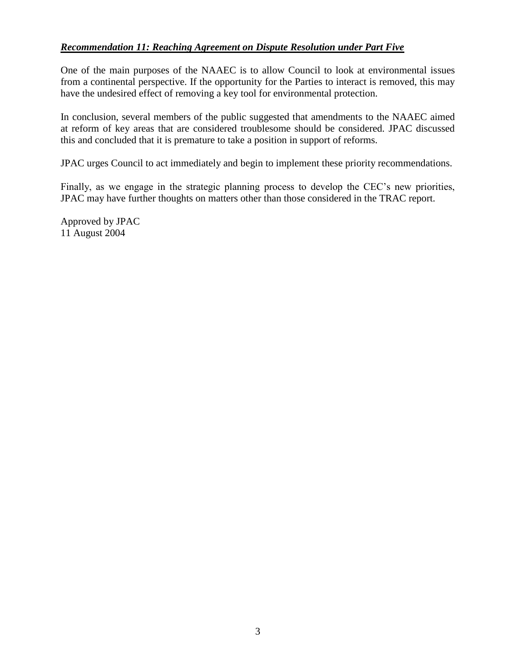## *Recommendation 11: Reaching Agreement on Dispute Resolution under Part Five*

One of the main purposes of the NAAEC is to allow Council to look at environmental issues from a continental perspective. If the opportunity for the Parties to interact is removed, this may have the undesired effect of removing a key tool for environmental protection.

In conclusion, several members of the public suggested that amendments to the NAAEC aimed at reform of key areas that are considered troublesome should be considered. JPAC discussed this and concluded that it is premature to take a position in support of reforms.

JPAC urges Council to act immediately and begin to implement these priority recommendations.

Finally, as we engage in the strategic planning process to develop the CEC's new priorities, JPAC may have further thoughts on matters other than those considered in the TRAC report.

Approved by JPAC 11 August 2004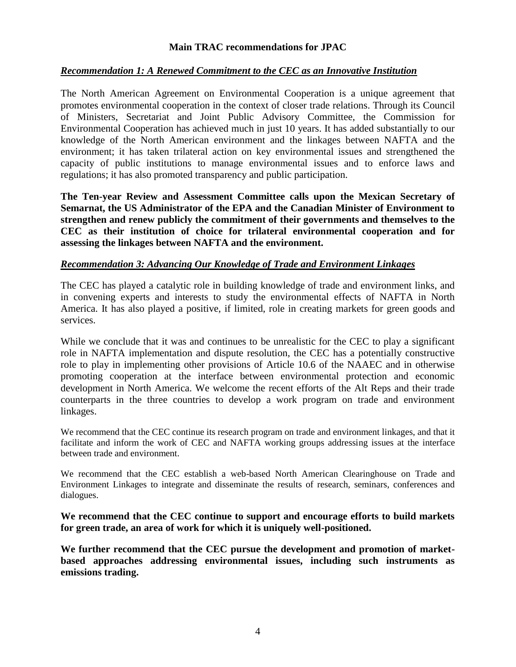### **Main TRAC recommendations for JPAC**

#### *Recommendation 1: A Renewed Commitment to the CEC as an Innovative Institution*

The North American Agreement on Environmental Cooperation is a unique agreement that promotes environmental cooperation in the context of closer trade relations. Through its Council of Ministers, Secretariat and Joint Public Advisory Committee, the Commission for Environmental Cooperation has achieved much in just 10 years. It has added substantially to our knowledge of the North American environment and the linkages between NAFTA and the environment; it has taken trilateral action on key environmental issues and strengthened the capacity of public institutions to manage environmental issues and to enforce laws and regulations; it has also promoted transparency and public participation.

**The Ten-year Review and Assessment Committee calls upon the Mexican Secretary of Semarnat, the US Administrator of the EPA and the Canadian Minister of Environment to strengthen and renew publicly the commitment of their governments and themselves to the CEC as their institution of choice for trilateral environmental cooperation and for assessing the linkages between NAFTA and the environment.**

#### *Recommendation 3: Advancing Our Knowledge of Trade and Environment Linkages*

The CEC has played a catalytic role in building knowledge of trade and environment links, and in convening experts and interests to study the environmental effects of NAFTA in North America. It has also played a positive, if limited, role in creating markets for green goods and services.

While we conclude that it was and continues to be unrealistic for the CEC to play a significant role in NAFTA implementation and dispute resolution, the CEC has a potentially constructive role to play in implementing other provisions of Article 10.6 of the NAAEC and in otherwise promoting cooperation at the interface between environmental protection and economic development in North America. We welcome the recent efforts of the Alt Reps and their trade counterparts in the three countries to develop a work program on trade and environment linkages.

We recommend that the CEC continue its research program on trade and environment linkages, and that it facilitate and inform the work of CEC and NAFTA working groups addressing issues at the interface between trade and environment.

We recommend that the CEC establish a web-based North American Clearinghouse on Trade and Environment Linkages to integrate and disseminate the results of research, seminars, conferences and dialogues.

**We recommend that the CEC continue to support and encourage efforts to build markets for green trade, an area of work for which it is uniquely well-positioned.**

**We further recommend that the CEC pursue the development and promotion of marketbased approaches addressing environmental issues, including such instruments as emissions trading.**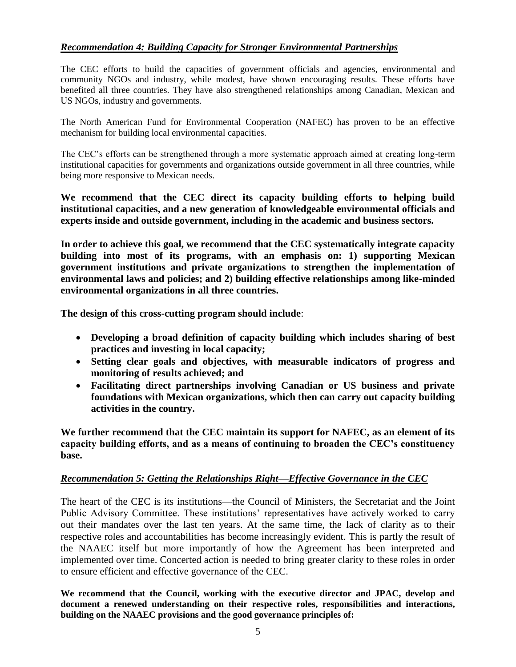### *Recommendation 4: Building Capacity for Stronger Environmental Partnerships*

The CEC efforts to build the capacities of government officials and agencies, environmental and community NGOs and industry, while modest, have shown encouraging results. These efforts have benefited all three countries. They have also strengthened relationships among Canadian, Mexican and US NGOs, industry and governments.

The North American Fund for Environmental Cooperation (NAFEC) has proven to be an effective mechanism for building local environmental capacities.

The CEC's efforts can be strengthened through a more systematic approach aimed at creating long-term institutional capacities for governments and organizations outside government in all three countries, while being more responsive to Mexican needs.

**We recommend that the CEC direct its capacity building efforts to helping build institutional capacities, and a new generation of knowledgeable environmental officials and experts inside and outside government, including in the academic and business sectors.**

**In order to achieve this goal, we recommend that the CEC systematically integrate capacity building into most of its programs, with an emphasis on: 1) supporting Mexican government institutions and private organizations to strengthen the implementation of environmental laws and policies; and 2) building effective relationships among like-minded environmental organizations in all three countries.** 

**The design of this cross-cutting program should include**:

- **Developing a broad definition of capacity building which includes sharing of best practices and investing in local capacity;**
- **Setting clear goals and objectives, with measurable indicators of progress and monitoring of results achieved; and**
- **Facilitating direct partnerships involving Canadian or US business and private foundations with Mexican organizations, which then can carry out capacity building activities in the country.**

**We further recommend that the CEC maintain its support for NAFEC, as an element of its capacity building efforts, and as a means of continuing to broaden the CEC's constituency base.**

### *Recommendation 5: Getting the Relationships Right—Effective Governance in the CEC*

The heart of the CEC is its institutions—the Council of Ministers, the Secretariat and the Joint Public Advisory Committee. These institutions' representatives have actively worked to carry out their mandates over the last ten years. At the same time, the lack of clarity as to their respective roles and accountabilities has become increasingly evident. This is partly the result of the NAAEC itself but more importantly of how the Agreement has been interpreted and implemented over time. Concerted action is needed to bring greater clarity to these roles in order to ensure efficient and effective governance of the CEC.

**We recommend that the Council, working with the executive director and JPAC, develop and document a renewed understanding on their respective roles, responsibilities and interactions, building on the NAAEC provisions and the good governance principles of:**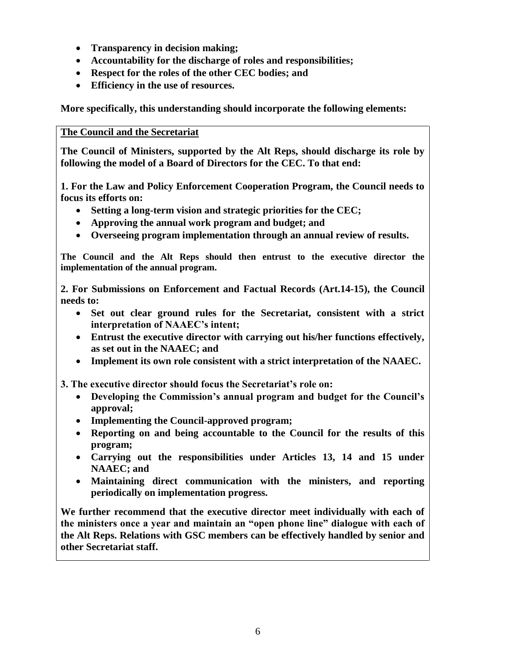- **Transparency in decision making;**
- **Accountability for the discharge of roles and responsibilities;**
- **Respect for the roles of the other CEC bodies; and**
- **Efficiency in the use of resources.**

**More specifically, this understanding should incorporate the following elements:**

### **The Council and the Secretariat**

**The Council of Ministers, supported by the Alt Reps, should discharge its role by following the model of a Board of Directors for the CEC. To that end:**

**1. For the Law and Policy Enforcement Cooperation Program, the Council needs to focus its efforts on:**

- **Setting a long-term vision and strategic priorities for the CEC;**
- **Approving the annual work program and budget; and**
- **Overseeing program implementation through an annual review of results.**

**The Council and the Alt Reps should then entrust to the executive director the implementation of the annual program.**

**2. For Submissions on Enforcement and Factual Records (Art.14-15), the Council needs to:**

- **Set out clear ground rules for the Secretariat, consistent with a strict interpretation of NAAEC's intent;**
- **Entrust the executive director with carrying out his/her functions effectively, as set out in the NAAEC; and**
- **Implement its own role consistent with a strict interpretation of the NAAEC.**

**3. The executive director should focus the Secretariat's role on:**

- **Developing the Commission's annual program and budget for the Council's approval;**
- **Implementing the Council-approved program;**
- **Reporting on and being accountable to the Council for the results of this program;**
- **Carrying out the responsibilities under Articles 13, 14 and 15 under NAAEC; and**
- **Maintaining direct communication with the ministers, and reporting periodically on implementation progress.**

**We further recommend that the executive director meet individually with each of the ministers once a year and maintain an "open phone line" dialogue with each of the Alt Reps. Relations with GSC members can be effectively handled by senior and other Secretariat staff.**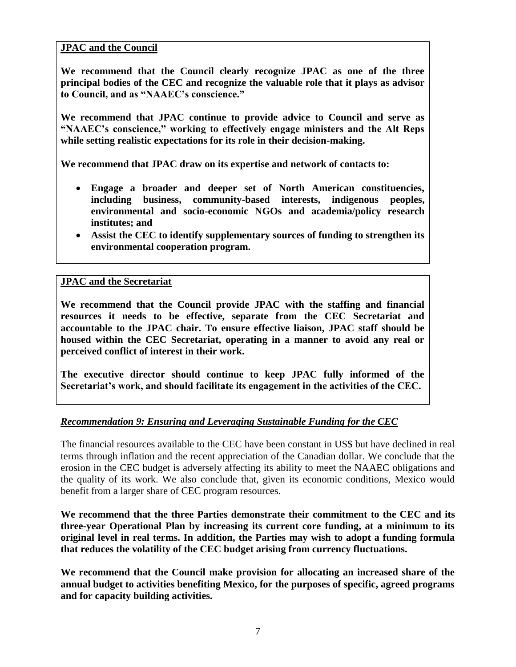### **JPAC and the Council**

**We recommend that the Council clearly recognize JPAC as one of the three principal bodies of the CEC and recognize the valuable role that it plays as advisor to Council, and as "NAAEC's conscience."** 

**We recommend that JPAC continue to provide advice to Council and serve as "NAAEC's conscience," working to effectively engage ministers and the Alt Reps while setting realistic expectations for its role in their decision-making.** 

**We recommend that JPAC draw on its expertise and network of contacts to:**

- **Engage a broader and deeper set of North American constituencies, including business, community-based interests, indigenous peoples, environmental and socio-economic NGOs and academia/policy research institutes; and**
- **Assist the CEC to identify supplementary sources of funding to strengthen its environmental cooperation program.**

### **JPAC and the Secretariat**

**We recommend that the Council provide JPAC with the staffing and financial resources it needs to be effective, separate from the CEC Secretariat and accountable to the JPAC chair. To ensure effective liaison, JPAC staff should be housed within the CEC Secretariat, operating in a manner to avoid any real or perceived conflict of interest in their work.**

**The executive director should continue to keep JPAC fully informed of the Secretariat's work, and should facilitate its engagement in the activities of the CEC.**

## *Recommendation 9: Ensuring and Leveraging Sustainable Funding for the CEC*

The financial resources available to the CEC have been constant in US\$ but have declined in real terms through inflation and the recent appreciation of the Canadian dollar. We conclude that the erosion in the CEC budget is adversely affecting its ability to meet the NAAEC obligations and the quality of its work. We also conclude that, given its economic conditions, Mexico would benefit from a larger share of CEC program resources.

**We recommend that the three Parties demonstrate their commitment to the CEC and its three-year Operational Plan by increasing its current core funding, at a minimum to its original level in real terms. In addition, the Parties may wish to adopt a funding formula that reduces the volatility of the CEC budget arising from currency fluctuations.**

**We recommend that the Council make provision for allocating an increased share of the annual budget to activities benefiting Mexico, for the purposes of specific, agreed programs and for capacity building activities.**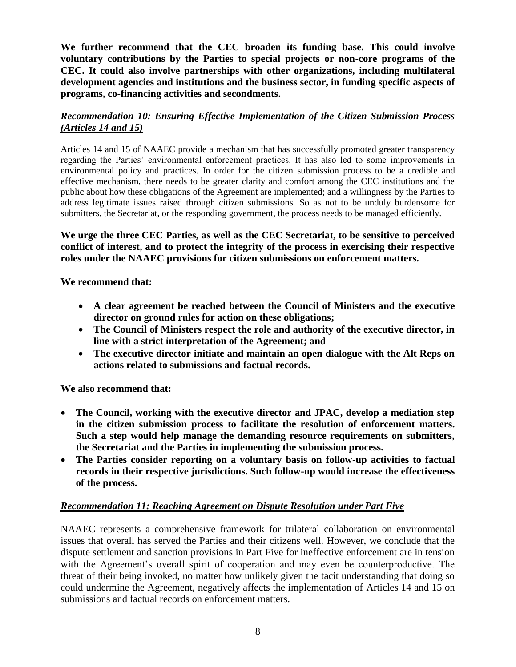**We further recommend that the CEC broaden its funding base. This could involve voluntary contributions by the Parties to special projects or non-core programs of the CEC. It could also involve partnerships with other organizations, including multilateral development agencies and institutions and the business sector, in funding specific aspects of programs, co-financing activities and secondments.**

## *Recommendation 10: Ensuring Effective Implementation of the Citizen Submission Process (Articles 14 and 15)*

Articles 14 and 15 of NAAEC provide a mechanism that has successfully promoted greater transparency regarding the Parties' environmental enforcement practices. It has also led to some improvements in environmental policy and practices. In order for the citizen submission process to be a credible and effective mechanism, there needs to be greater clarity and comfort among the CEC institutions and the public about how these obligations of the Agreement are implemented; and a willingness by the Parties to address legitimate issues raised through citizen submissions. So as not to be unduly burdensome for submitters, the Secretariat, or the responding government, the process needs to be managed efficiently.

**We urge the three CEC Parties, as well as the CEC Secretariat, to be sensitive to perceived conflict of interest, and to protect the integrity of the process in exercising their respective roles under the NAAEC provisions for citizen submissions on enforcement matters.**

**We recommend that:**

- **A clear agreement be reached between the Council of Ministers and the executive director on ground rules for action on these obligations;**
- **The Council of Ministers respect the role and authority of the executive director, in line with a strict interpretation of the Agreement; and**
- **The executive director initiate and maintain an open dialogue with the Alt Reps on actions related to submissions and factual records.**

**We also recommend that:**

- **The Council, working with the executive director and JPAC, develop a mediation step in the citizen submission process to facilitate the resolution of enforcement matters. Such a step would help manage the demanding resource requirements on submitters, the Secretariat and the Parties in implementing the submission process.**
- **The Parties consider reporting on a voluntary basis on follow-up activities to factual records in their respective jurisdictions. Such follow-up would increase the effectiveness of the process.**

## *Recommendation 11: Reaching Agreement on Dispute Resolution under Part Five*

NAAEC represents a comprehensive framework for trilateral collaboration on environmental issues that overall has served the Parties and their citizens well. However, we conclude that the dispute settlement and sanction provisions in Part Five for ineffective enforcement are in tension with the Agreement's overall spirit of cooperation and may even be counterproductive. The threat of their being invoked, no matter how unlikely given the tacit understanding that doing so could undermine the Agreement, negatively affects the implementation of Articles 14 and 15 on submissions and factual records on enforcement matters.